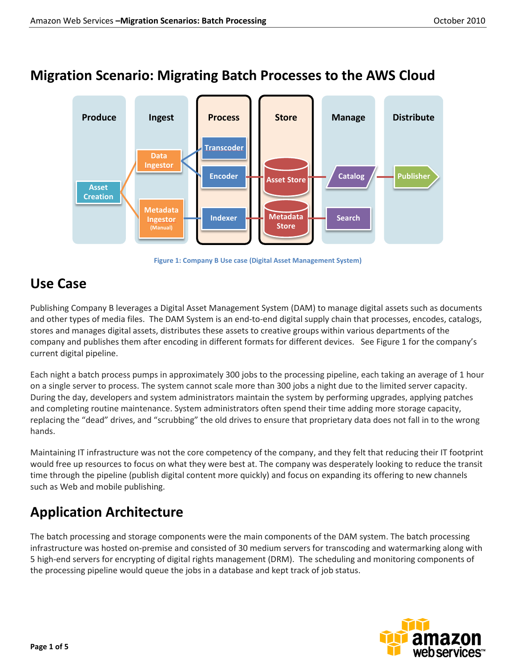### **Migration Scenario: Migrating Batch Processes to the AWS Cloud**



**Figure 1: Company B Use case (Digital Asset Management System)**

### **Use Case**

Publishing Company B leverages a Digital Asset Management System (DAM) to manage digital assets such as documents and other types of media files. The DAM System is an end-to-end digital supply chain that processes, encodes, catalogs, stores and manages digital assets, distributes these assets to creative groups within various departments of the company and publishes them after encoding in different formats for different devices. See Figure 1 for the company's current digital pipeline.

Each night a batch process pumps in approximately 300 jobs to the processing pipeline, each taking an average of 1 hour on a single server to process. The system cannot scale more than 300 jobs a night due to the limited server capacity. During the day, developers and system administrators maintain the system by performing upgrades, applying patches and completing routine maintenance. System administrators often spend their time adding more storage capacity, replacing the "dead" drives, and "scrubbing" the old drives to ensure that proprietary data does not fall in to the wrong hands.

Maintaining IT infrastructure was not the core competency of the company, and they felt that reducing their IT footprint would free up resources to focus on what they were best at. The company was desperately looking to reduce the transit time through the pipeline (publish digital content more quickly) and focus on expanding its offering to new channels such as Web and mobile publishing.

# **Application Architecture**

The batch processing and storage components were the main components of the DAM system. The batch processing infrastructure was hosted on-premise and consisted of 30 medium servers for transcoding and watermarking along with 5 high-end servers for encrypting of digital rights management (DRM). The scheduling and monitoring components of the processing pipeline would queue the jobs in a database and kept track of job status.

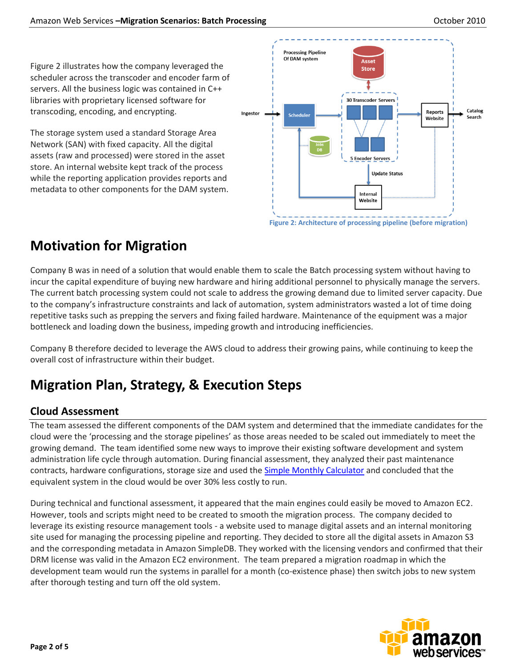Figure 2 illustrates how the company leveraged the scheduler across the transcoder and encoder farm of servers. All the business logic was contained in C++ libraries with proprietary licensed software for transcoding, encoding, and encrypting.

The storage system used a standard Storage Area Network (SAN) with fixed capacity. All the digital assets (raw and processed) were stored in the asset store. An internal website kept track of the process while the reporting application provides reports and metadata to other components for the DAM system.



## **Motivation for Migration**

Company B was in need of a solution that would enable them to scale the Batch processing system without having to incur the capital expenditure of buying new hardware and hiring additional personnel to physically manage the servers. The current batch processing system could not scale to address the growing demand due to limited server capacity. Due to the company's infrastructure constraints and lack of automation, system administrators wasted a lot of time doing repetitive tasks such as prepping the servers and fixing failed hardware. Maintenance of the equipment was a major bottleneck and loading down the business, impeding growth and introducing inefficiencies.

Company B therefore decided to leverage the AWS cloud to address their growing pains, while continuing to keep the overall cost of infrastructure within their budget.

## **Migration Plan, Strategy, & Execution Steps**

#### **Cloud Assessment**

The team assessed the different components of the DAM system and determined that the immediate candidates for the cloud were the 'processing and the storage pipelines' as those areas needed to be scaled out immediately to meet the growing demand. The team identified some new ways to improve their existing software development and system administration life cycle through automation. During financial assessment, they analyzed their past maintenance contracts, hardware configurations, storage size and used the **Simple Monthly Calculator** and concluded that the equivalent system in the cloud would be over 30% less costly to run.

During technical and functional assessment, it appeared that the main engines could easily be moved to Amazon EC2. However, tools and scripts might need to be created to smooth the migration process. The company decided to leverage its existing resource management tools - a website used to manage digital assets and an internal monitoring site used for managing the processing pipeline and reporting. They decided to store all the digital assets in Amazon S3 and the corresponding metadata in Amazon SimpleDB. They worked with the licensing vendors and confirmed that their DRM license was valid in the Amazon EC2 environment. The team prepared a migration roadmap in which the development team would run the systems in parallel for a month (co-existence phase) then switch jobs to new system after thorough testing and turn off the old system.

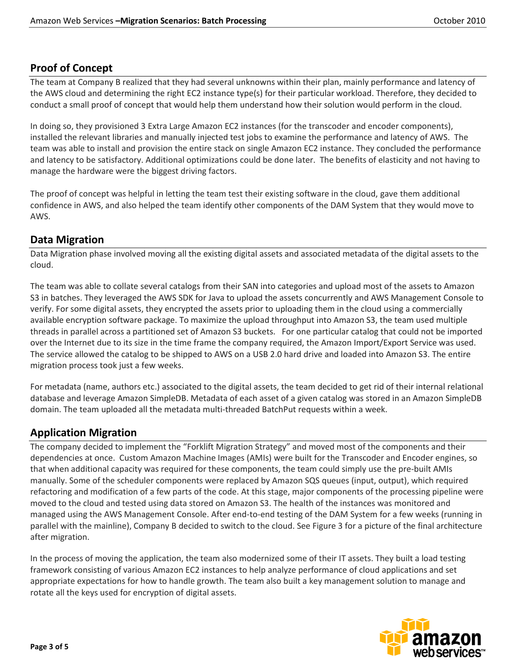#### **Proof of Concept**

The team at Company B realized that they had several unknowns within their plan, mainly performance and latency of the AWS cloud and determining the right EC2 instance type(s) for their particular workload. Therefore, they decided to conduct a small proof of concept that would help them understand how their solution would perform in the cloud.

In doing so, they provisioned 3 Extra Large Amazon EC2 instances (for the transcoder and encoder components), installed the relevant libraries and manually injected test jobs to examine the performance and latency of AWS. The team was able to install and provision the entire stack on single Amazon EC2 instance. They concluded the performance and latency to be satisfactory. Additional optimizations could be done later. The benefits of elasticity and not having to manage the hardware were the biggest driving factors.

The proof of concept was helpful in letting the team test their existing software in the cloud, gave them additional confidence in AWS, and also helped the team identify other components of the DAM System that they would move to AWS.

#### **Data Migration**

Data Migration phase involved moving all the existing digital assets and associated metadata of the digital assets to the cloud.

The team was able to collate several catalogs from their SAN into categories and upload most of the assets to Amazon S3 in batches. They leveraged the AWS SDK for Java to upload the assets concurrently and AWS Management Console to verify. For some digital assets, they encrypted the assets prior to uploading them in the cloud using a commercially available encryption software package. To maximize the upload throughput into Amazon S3, the team used multiple threads in parallel across a partitioned set of Amazon S3 buckets. For one particular catalog that could not be imported over the Internet due to its size in the time frame the company required, the Amazon Import/Export Service was used. The service allowed the catalog to be shipped to AWS on a USB 2.0 hard drive and loaded into Amazon S3. The entire migration process took just a few weeks.

For metadata (name, authors etc.) associated to the digital assets, the team decided to get rid of their internal relational database and leverage Amazon SimpleDB. Metadata of each asset of a given catalog was stored in an Amazon SimpleDB domain. The team uploaded all the metadata multi-threaded BatchPut requests within a week.

#### **Application Migration**

The company decided to implement the "Forklift Migration Strategy" and moved most of the components and their dependencies at once. Custom Amazon Machine Images (AMIs) were built for the Transcoder and Encoder engines, so that when additional capacity was required for these components, the team could simply use the pre-built AMIs manually. Some of the scheduler components were replaced by Amazon SQS queues (input, output), which required refactoring and modification of a few parts of the code. At this stage, major components of the processing pipeline were moved to the cloud and tested using data stored on Amazon S3. The health of the instances was monitored and managed using the AWS Management Console. After end-to-end testing of the DAM System for a few weeks (running in parallel with the mainline), Company B decided to switch to the cloud. See Figure 3 for a picture of the final architecture after migration.

In the process of moving the application, the team also modernized some of their IT assets. They built a load testing framework consisting of various Amazon EC2 instances to help analyze performance of cloud applications and set appropriate expectations for how to handle growth. The team also built a key management solution to manage and rotate all the keys used for encryption of digital assets.

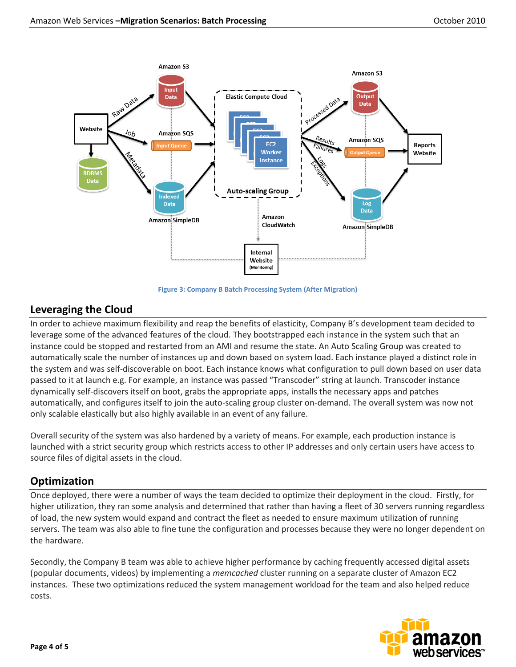



#### **Leveraging the Cloud**

In order to achieve maximum flexibility and reap the benefits of elasticity, Company B's development team decided to leverage some of the advanced features of the cloud. They bootstrapped each instance in the system such that an instance could be stopped and restarted from an AMI and resume the state. An Auto Scaling Group was created to automatically scale the number of instances up and down based on system load. Each instance played a distinct role in the system and was self-discoverable on boot. Each instance knows what configuration to pull down based on user data passed to it at launch e.g. For example, an instance was passed "Transcoder" string at launch. Transcoder instance dynamically self-discovers itself on boot, grabs the appropriate apps, installs the necessary apps and patches automatically, and configures itself to join the auto-scaling group cluster on-demand. The overall system was now not only scalable elastically but also highly available in an event of any failure.

Overall security of the system was also hardened by a variety of means. For example, each production instance is launched with a strict security group which restricts access to other IP addresses and only certain users have access to source files of digital assets in the cloud.

#### **Optimization**

Once deployed, there were a number of ways the team decided to optimize their deployment in the cloud. Firstly, for higher utilization, they ran some analysis and determined that rather than having a fleet of 30 servers running regardless of load, the new system would expand and contract the fleet as needed to ensure maximum utilization of running servers. The team was also able to fine tune the configuration and processes because they were no longer dependent on the hardware.

Secondly, the Company B team was able to achieve higher performance by caching frequently accessed digital assets (popular documents, videos) by implementing a *memcached* cluster running on a separate cluster of Amazon EC2 instances. These two optimizations reduced the system management workload for the team and also helped reduce costs.